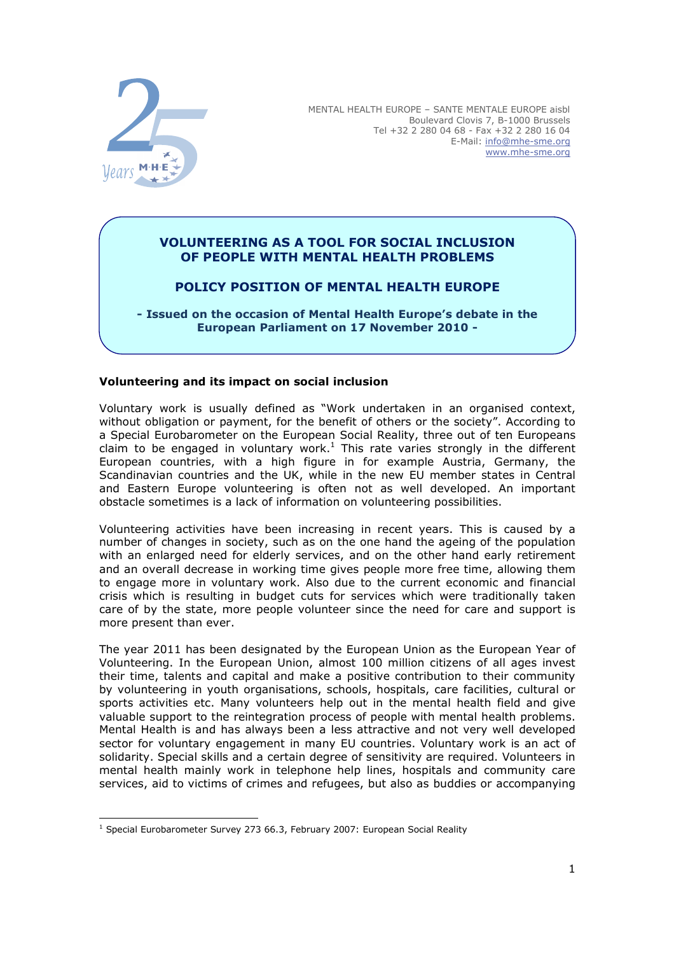

MENTAL HEALTH EUROPE – SANTE MENTALE EUROPE aisbl Boulevard Clovis 7, B-1000 Brussels Tel +32 2 280 04 68 - Fax +32 2 280 16 04 E-Mail: info@mhe-sme.org www.mhe-sme.org

## VOLUNTEERING AS A TOOL FOR SOCIAL INCLUSION OF PEOPLE WITH MENTAL HEALTH PROBLEMS

# POLICY POSITION OF MENTAL HEALTH EUROPE

- Issued on the occasion of Mental Health Europe's debate in the European Parliament on 17 November 2010 -

## Volunteering and its impact on social inclusion

Voluntary work is usually defined as "Work undertaken in an organised context, without obligation or payment, for the benefit of others or the society". According to a Special Eurobarometer on the European Social Reality, three out of ten Europeans claim to be engaged in voluntary work.<sup>1</sup> This rate varies strongly in the different European countries, with a high figure in for example Austria, Germany, the Scandinavian countries and the UK, while in the new EU member states in Central and Eastern Europe volunteering is often not as well developed. An important obstacle sometimes is a lack of information on volunteering possibilities.

Volunteering activities have been increasing in recent years. This is caused by a number of changes in society, such as on the one hand the ageing of the population with an enlarged need for elderly services, and on the other hand early retirement and an overall decrease in working time gives people more free time, allowing them to engage more in voluntary work. Also due to the current economic and financial crisis which is resulting in budget cuts for services which were traditionally taken care of by the state, more people volunteer since the need for care and support is more present than ever.

The year 2011 has been designated by the European Union as the European Year of Volunteering. In the European Union, almost 100 million citizens of all ages invest their time, talents and capital and make a positive contribution to their community by volunteering in youth organisations, schools, hospitals, care facilities, cultural or sports activities etc. Many volunteers help out in the mental health field and give valuable support to the reintegration process of people with mental health problems. Mental Health is and has always been a less attractive and not very well developed sector for voluntary engagement in many EU countries. Voluntary work is an act of solidarity. Special skills and a certain degree of sensitivity are required. Volunteers in mental health mainly work in telephone help lines, hospitals and community care services, aid to victims of crimes and refugees, but also as buddies or accompanying

<sup>-</sup><sup>1</sup> Special Eurobarometer Survey 273 66.3, February 2007: European Social Reality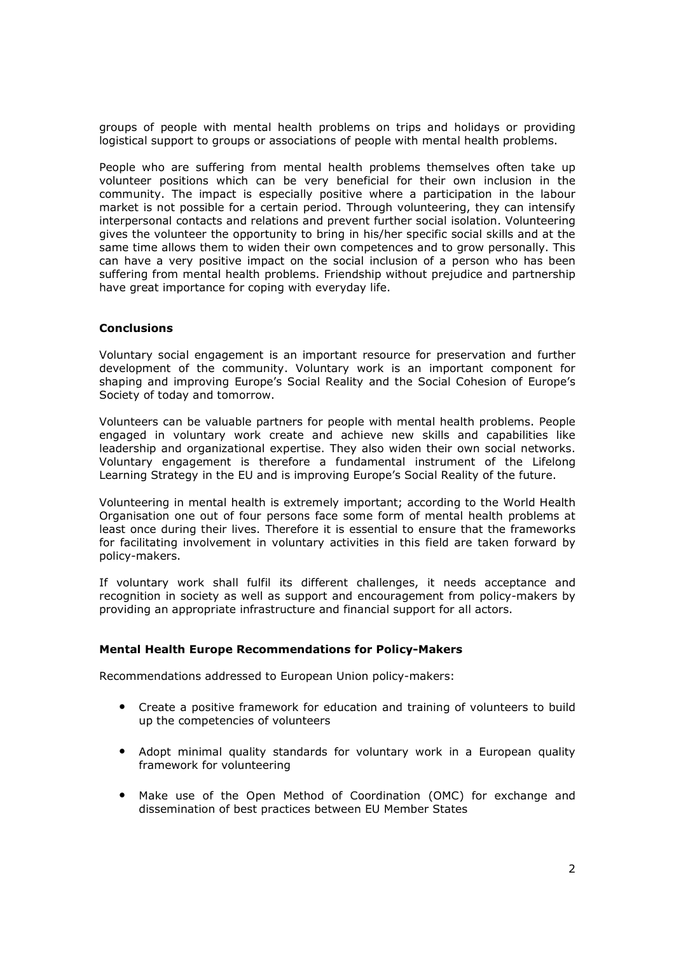groups of people with mental health problems on trips and holidays or providing logistical support to groups or associations of people with mental health problems.

People who are suffering from mental health problems themselves often take up volunteer positions which can be very beneficial for their own inclusion in the community. The impact is especially positive where a participation in the labour market is not possible for a certain period. Through volunteering, they can intensify interpersonal contacts and relations and prevent further social isolation. Volunteering gives the volunteer the opportunity to bring in his/her specific social skills and at the same time allows them to widen their own competences and to grow personally. This can have a very positive impact on the social inclusion of a person who has been suffering from mental health problems. Friendship without prejudice and partnership have great importance for coping with everyday life.

### **Conclusions**

Voluntary social engagement is an important resource for preservation and further development of the community. Voluntary work is an important component for shaping and improving Europe's Social Reality and the Social Cohesion of Europe's Society of today and tomorrow.

Volunteers can be valuable partners for people with mental health problems. People engaged in voluntary work create and achieve new skills and capabilities like leadership and organizational expertise. They also widen their own social networks. Voluntary engagement is therefore a fundamental instrument of the Lifelong Learning Strategy in the EU and is improving Europe's Social Reality of the future.

Volunteering in mental health is extremely important; according to the World Health Organisation one out of four persons face some form of mental health problems at least once during their lives. Therefore it is essential to ensure that the frameworks for facilitating involvement in voluntary activities in this field are taken forward by policy-makers.

If voluntary work shall fulfil its different challenges, it needs acceptance and recognition in society as well as support and encouragement from policy-makers by providing an appropriate infrastructure and financial support for all actors.

### Mental Health Europe Recommendations for Policy-Makers

Recommendations addressed to European Union policy-makers:

- Create a positive framework for education and training of volunteers to build up the competencies of volunteers
- Adopt minimal quality standards for voluntary work in a European quality framework for volunteering
- Make use of the Open Method of Coordination (OMC) for exchange and dissemination of best practices between EU Member States